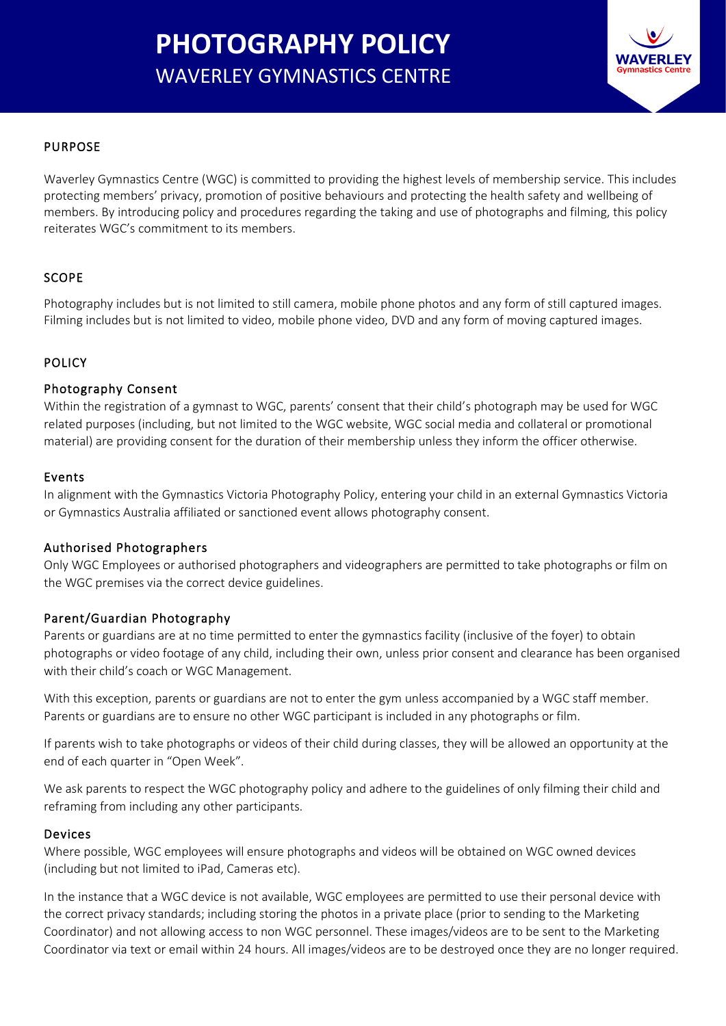# **PHOTOGRAPHY POLICY** WAVERLEY GYMNASTICS CENTRE



# PURPOSE

Waverley Gymnastics Centre (WGC) is committed to providing the highest levels of membership service. This includes protecting members' privacy, promotion of positive behaviours and protecting the health safety and wellbeing of members. By introducing policy and procedures regarding the taking and use of photographs and filming, this policy reiterates WGC's commitment to its members.

# SCOPE

Photography includes but is not limited to still camera, mobile phone photos and any form of still captured images. Filming includes but is not limited to video, mobile phone video, DVD and any form of moving captured images.

# **POLICY**

### Photography Consent

Within the registration of a gymnast to WGC, parents' consent that their child's photograph may be used for WGC related purposes (including, but not limited to the WGC website, WGC social media and collateral or promotional material) are providing consent for the duration of their membership unless they inform the officer otherwise.

#### Events

In alignment with the Gymnastics Victoria Photography Policy, entering your child in an external Gymnastics Victoria or Gymnastics Australia affiliated or sanctioned event allows photography consent.

### Authorised Photographers

Only WGC Employees or authorised photographers and videographers are permitted to take photographs or film on the WGC premises via the correct device guidelines.

### Parent/Guardian Photography

Parents or guardians are at no time permitted to enter the gymnastics facility (inclusive of the foyer) to obtain photographs or video footage of any child, including their own, unless prior consent and clearance has been organised with their child's coach or WGC Management.

With this exception, parents or guardians are not to enter the gym unless accompanied by a WGC staff member. Parents or guardians are to ensure no other WGC participant is included in any photographs or film.

If parents wish to take photographs or videos of their child during classes, they will be allowed an opportunity at the end of each quarter in "Open Week".

We ask parents to respect the WGC photography policy and adhere to the guidelines of only filming their child and reframing from including any other participants.

### Devices

Where possible, WGC employees will ensure photographs and videos will be obtained on WGC owned devices (including but not limited to iPad, Cameras etc).

In the instance that a WGC device is not available, WGC employees are permitted to use their personal device with the correct privacy standards; including storing the photos in a private place (prior to sending to the Marketing Coordinator) and not allowing access to non WGC personnel. These images/videos are to be sent to the Marketing Coordinator via text or email within 24 hours. All images/videos are to be destroyed once they are no longer required.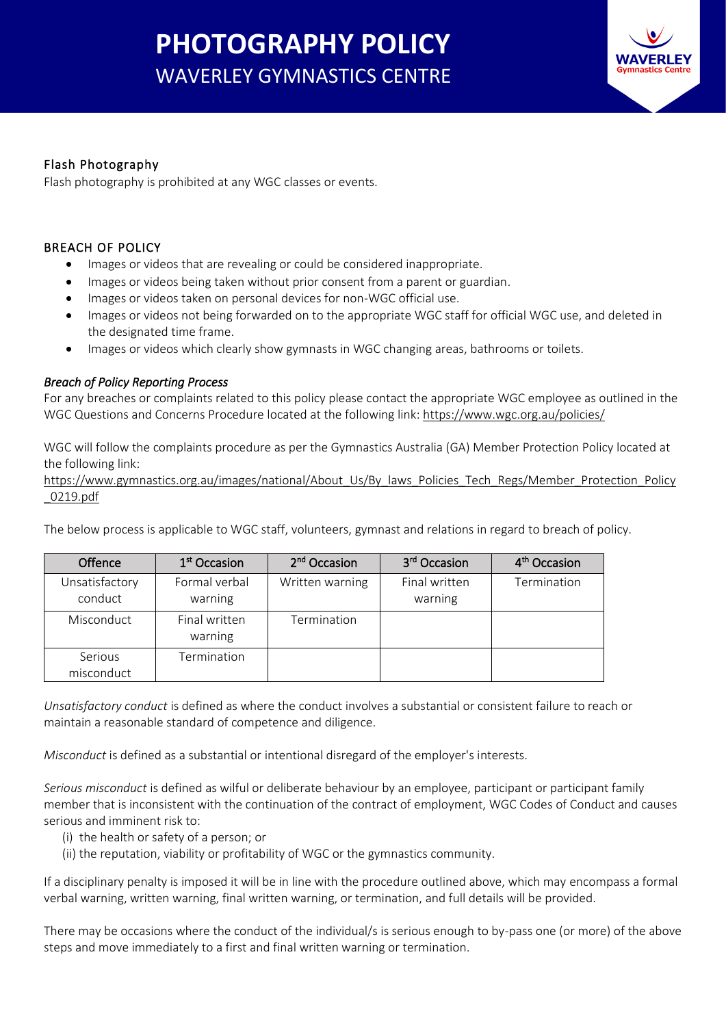# **PHOTOGRAPHY POLICY** WAVERLEY GYMNASTICS CENTRE



# Flash Photography

Flash photography is prohibited at any WGC classes or events.

# BREACH OF POLICY

- Images or videos that are revealing or could be considered inappropriate.
- Images or videos being taken without prior consent from a parent or guardian.
- Images or videos taken on personal devices for non-WGC official use.
- Images or videos not being forwarded on to the appropriate WGC staff for official WGC use, and deleted in the designated time frame.
- Images or videos which clearly show gymnasts in WGC changing areas, bathrooms or toilets.

# *Breach of Policy Reporting Process*

For any breaches or complaints related to this policy please contact the appropriate WGC employee as outlined in the WGC Questions and Concerns Procedure located at the following link: <https://www.wgc.org.au/policies/>

WGC will follow the complaints procedure as per the Gymnastics Australia (GA) Member Protection Policy located at the following link:

[https://www.gymnastics.org.au/images/national/About\\_Us/By\\_laws\\_Policies\\_Tech\\_Regs/Member\\_Protection\\_Policy](https://www.gymnastics.org.au/images/national/About_Us/By_laws_Policies_Tech_Regs/Member_Protection_Policy_0219.pdf) [\\_0219.pdf](https://www.gymnastics.org.au/images/national/About_Us/By_laws_Policies_Tech_Regs/Member_Protection_Policy_0219.pdf)

The below process is applicable to WGC staff, volunteers, gymnast and relations in regard to breach of policy.

| Offence                   | 1 <sup>st</sup> Occasion | 2 <sup>nd</sup> Occasion | 3 <sup>rd</sup> Occasion | 4 <sup>th</sup> Occasion |
|---------------------------|--------------------------|--------------------------|--------------------------|--------------------------|
| Unsatisfactory<br>conduct | Formal verbal<br>warning | Written warning          | Final written<br>warning | Termination              |
| Misconduct                | Final written<br>warning | Termination              |                          |                          |
| Serious<br>misconduct     | Termination              |                          |                          |                          |

*Unsatisfactory conduct* is defined as where the conduct involves a substantial or consistent failure to reach or maintain a reasonable standard of competence and diligence.

*Misconduct* is defined as a substantial or intentional disregard of the employer's interests.

*Serious misconduct* is defined as wilful or deliberate behaviour by an employee, participant or participant family member that is inconsistent with the continuation of the contract of employment, WGC Codes of Conduct and causes serious and imminent risk to:

- (i) the health or safety of a person; or
- (ii) the reputation, viability or profitability of WGC or the gymnastics community.

If a disciplinary penalty is imposed it will be in line with the procedure outlined above, which may encompass a formal verbal warning, written warning, final written warning, or termination, and full details will be provided.

There may be occasions where the conduct of the individual/s is serious enough to by-pass one (or more) of the above steps and move immediately to a first and final written warning or termination.